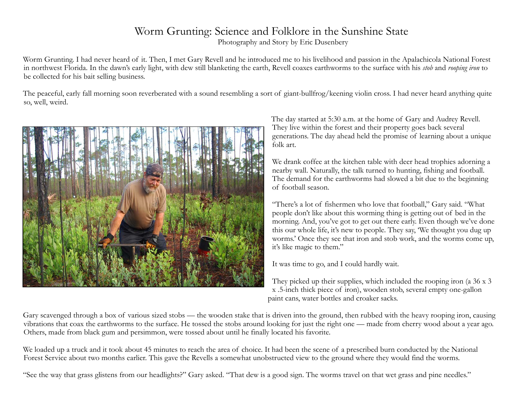## Worm Grunting: Science and Folklore in the Sunshine State

Photography and Story by Eric Dusenbery

Worm Grunting. I had never heard of it. Then, I met Gary Revell and he introduced me to his livelihood and passion in the Apalachicola National Forest in northwest Florida. In the dawn's early light, with dew still blanketing the earth, Revell coaxes earthworms to the surface with his *stob* and *rooping iron* to be collected for his bait selling business.

The peaceful, early fall morning soon reverberated with a sound resembling a sort of giant-bullfrog/keening violin cross. I had never heard anything quite so, well, weird.



The day started at 5:30 a.m. at the home of Gary and Audrey Revell. They live within the forest and their property goes back several generations. The day ahead held the promise of learning about a unique folk art.

We drank coffee at the kitchen table with deer head trophies adorning a nearby wall. Naturally, the talk turned to hunting, fishing and football. The demand for the earthworms had slowed a bit due to the beginning of football season.

"There's a lot of fishermen who love that football," Gary said. "What people don't like about this worming thing is getting out of bed in the morning. And, you've got to get out there early. Even though we've done this our whole life, it's new to people. They say, 'We thought you dug up worms.' Once they see that iron and stob work, and the worms come up, it's like magic to them."

It was time to go, and I could hardly wait.

They picked up their supplies, which included the rooping iron (a 36 x 3 x .5-inch thick piece of iron), wooden stob, several empty one-gallon paint cans, water bottles and croaker sacks.

Gary scavenged through a box of various sized stobs — the wooden stake that is driven into the ground, then rubbed with the heavy rooping iron, causing vibrations that coax the earthworms to the surface. He tossed the stobs around looking for just the right one — made from cherry wood about a year ago. Others, made from black gum and persimmon, were tossed about until he finally located his favorite.

We loaded up a truck and it took about 45 minutes to reach the area of choice. It had been the scene of a prescribed burn conducted by the National Forest Service about two months earlier. This gave the Revells a somewhat unobstructed view to the ground where they would find the worms.

"See the way that grass glistens from our headlights?" Gary asked. "That dew is a good sign. The worms travel on that wet grass and pine needles."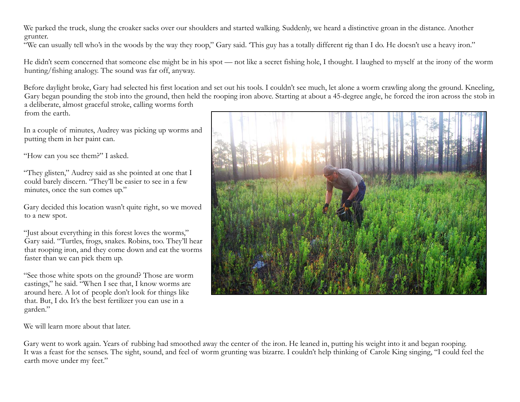We parked the truck, slung the croaker sacks over our shoulders and started walking. Suddenly, we heard a distinctive groan in the distance. Another grunter.

"We can usually tell who's in the woods by the way they roop," Gary said. 'This guy has a totally different rig than I do. He doesn't use a heavy iron."

He didn't seem concerned that someone else might be in his spot — not like a secret fishing hole, I thought. I laughed to myself at the irony of the worm hunting/fishing analogy. The sound was far off, anyway.

Before daylight broke, Gary had selected his first location and set out his tools. I couldn't see much, let alone a worm crawling along the ground. Kneeling, Gary began pounding the stob into the ground, then held the rooping iron above. Starting at about a 45-degree angle, he forced the iron across the stob in a deliberate, almost graceful stroke, calling worms forth from the earth.

In a couple of minutes, Audrey was picking up worms and putting them in her paint can.

"How can you see them?" I asked.

"They glisten," Audrey said as she pointed at one that I could barely discern. "They'll be easier to see in a few minutes, once the sun comes up."

Gary decided this location wasn't quite right, so we moved to a new spot.

"Just about everything in this forest loves the worms," Gary said. "Turtles, frogs, snakes. Robins, too. They'll hear that rooping iron, and they come down and eat the worms faster than we can pick them up.

"See those white spots on the ground? Those are worm castings," he said. "When I see that, I know worms are around here. A lot of people don't look for things like that. But, I do. It's the best fertilizer you can use in a garden."



We will learn more about that later.

Gary went to work again. Years of rubbing had smoothed away the center of the iron. He leaned in, putting his weight into it and began rooping. It was a feast for the senses. The sight, sound, and feel of worm grunting was bizarre. I couldn't help thinking of Carole King singing, "I could feel the earth move under my feet."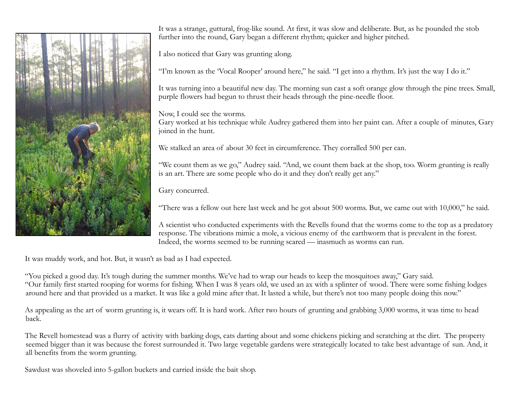

It was a strange, guttural, frog-like sound. At first, it was slow and deliberate. But, as he pounded the stob further into the round, Gary began a different rhythm; quicker and higher pitched.

I also noticed that Gary was grunting along.

"I'm known as the 'Vocal Rooper' around here," he said. "I get into a rhythm. It's just the way I do it."

It was turning into a beautiful new day. The morning sun cast a soft orange glow through the pine trees. Small, purple flowers had begun to thrust their heads through the pine-needle floor.

Now, I could see the worms.

Gary worked at his technique while Audrey gathered them into her paint can. After a couple of minutes, Gary joined in the hunt.

We stalked an area of about 30 feet in circumference. They corralled 500 per can.

"We count them as we go," Audrey said. "And, we count them back at the shop, too. Worm grunting is really is an art. There are some people who do it and they don't really get any."

Gary concurred.

"There was a fellow out here last week and he got about 500 worms. But, we came out with 10,000," he said.

A scientist who conducted experiments with the Revells found that the worms come to the top as a predatory response. The vibrations mimic a mole, a vicious enemy of the earthworm that is prevalent in the forest. Indeed, the worms seemed to be running scared — inasmuch as worms can run.

It was muddy work, and hot. But, it wasn't as bad as I had expected.

"You picked a good day. It's tough during the summer months. We've had to wrap our heads to keep the mosquitoes away," Gary said. "Our family first started rooping for worms for fishing. When I was 8 years old, we used an ax with a splinter of wood. There were some fishing lodges around here and that provided us a market. It was like a gold mine after that. It lasted a while, but there's not too many people doing this now."

As appealing as the art of worm grunting is, it wears off. It is hard work. After two hours of grunting and grabbing 3,000 worms, it was time to head back.

The Revell homestead was a flurry of activity with barking dogs, cats darting about and some chickens picking and scratching at the dirt. The property seemed bigger than it was because the forest surrounded it. Two large vegetable gardens were strategically located to take best advantage of sun. And, it all benefits from the worm grunting.

Sawdust was shoveled into 5-gallon buckets and carried inside the bait shop.